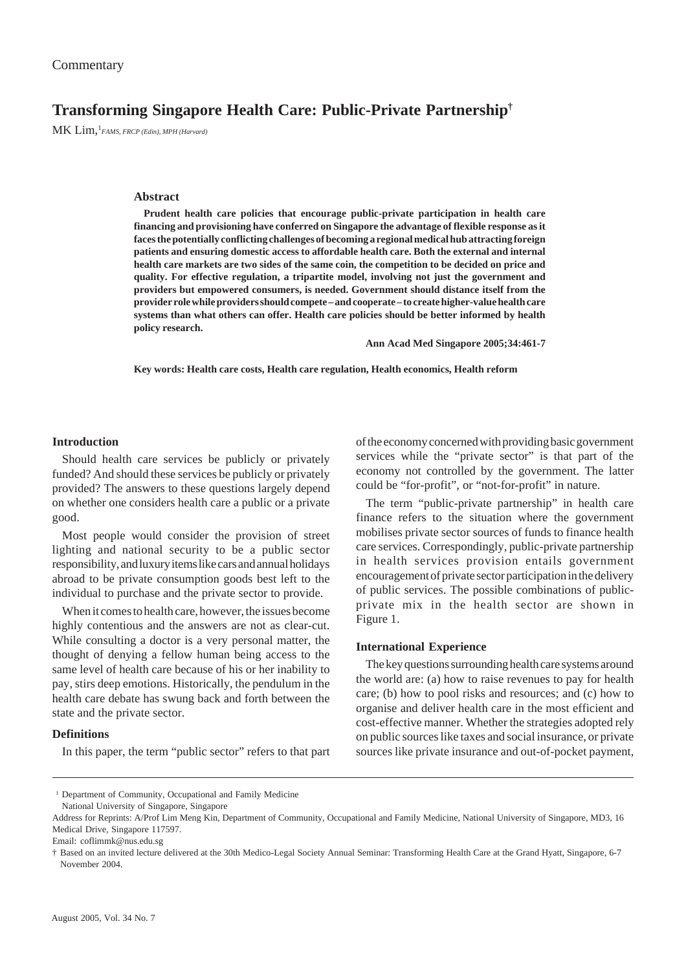# **Transforming Singapore Health Care: Public-Private Partnership†**

MK Lim,1 *FAMS, FRCP (Edin), MPH (Harvard)*

## **Abstract**

**Prudent health care policies that encourage public-private participation in health care financing and provisioning have conferred on Singapore the advantage of flexible response as it faces the potentially conflicting challenges of becoming a regional medical hub attracting foreign patients and ensuring domestic access to affordable health care. Both the external and internal health care markets are two sides of the same coin, the competition to be decided on price and quality. For effective regulation, a tripartite model, involving not just the government and providers but empowered consumers, is needed. Government should distance itself from the provider role while providers should compete – and cooperate – to create higher-value health care systems than what others can offer. Health care policies should be better informed by health policy research.**

**Ann Acad Med Singapore 2005;34:461-7**

**Key words: Health care costs, Health care regulation, Health economics, Health reform**

# **Introduction**

Should health care services be publicly or privately funded? And should these services be publicly or privately provided? The answers to these questions largely depend on whether one considers health care a public or a private good.

Most people would consider the provision of street lighting and national security to be a public sector responsibility, and luxury items like cars and annual holidays abroad to be private consumption goods best left to the individual to purchase and the private sector to provide.

When it comes to health care, however, the issues become highly contentious and the answers are not as clear-cut. While consulting a doctor is a very personal matter, the thought of denying a fellow human being access to the same level of health care because of his or her inability to pay, stirs deep emotions. Historically, the pendulum in the health care debate has swung back and forth between the state and the private sector.

# **Definitions**

In this paper, the term "public sector" refers to that part

of the economy concerned with providing basic government services while the "private sector" is that part of the economy not controlled by the government. The latter could be "for-profit", or "not-for-profit" in nature.

The term "public-private partnership" in health care finance refers to the situation where the government mobilises private sector sources of funds to finance health care services. Correspondingly, public-private partnership in health services provision entails government encouragement of private sector participation in the delivery of public services. The possible combinations of publicprivate mix in the health sector are shown in Figure 1.

## **International Experience**

The key questions surrounding health care systems around the world are: (a) how to raise revenues to pay for health care; (b) how to pool risks and resources; and (c) how to organise and deliver health care in the most efficient and cost-effective manner. Whether the strategies adopted rely on public sources like taxes and social insurance, or private sources like private insurance and out-of-pocket payment,

<sup>&</sup>lt;sup>1</sup> Department of Community, Occupational and Family Medicine National University of Singapore, Singapore

Address for Reprints: A/Prof Lim Meng Kin, Department of Community, Occupational and Family Medicine, National University of Singapore, MD3, 16 Medical Drive, Singapore 117597.

Email: coflimmk@nus.edu.sg

<sup>†</sup> Based on an invited lecture delivered at the 30th Medico-Legal Society Annual Seminar: Transforming Health Care at the Grand Hyatt, Singapore, 6-7 November 2004.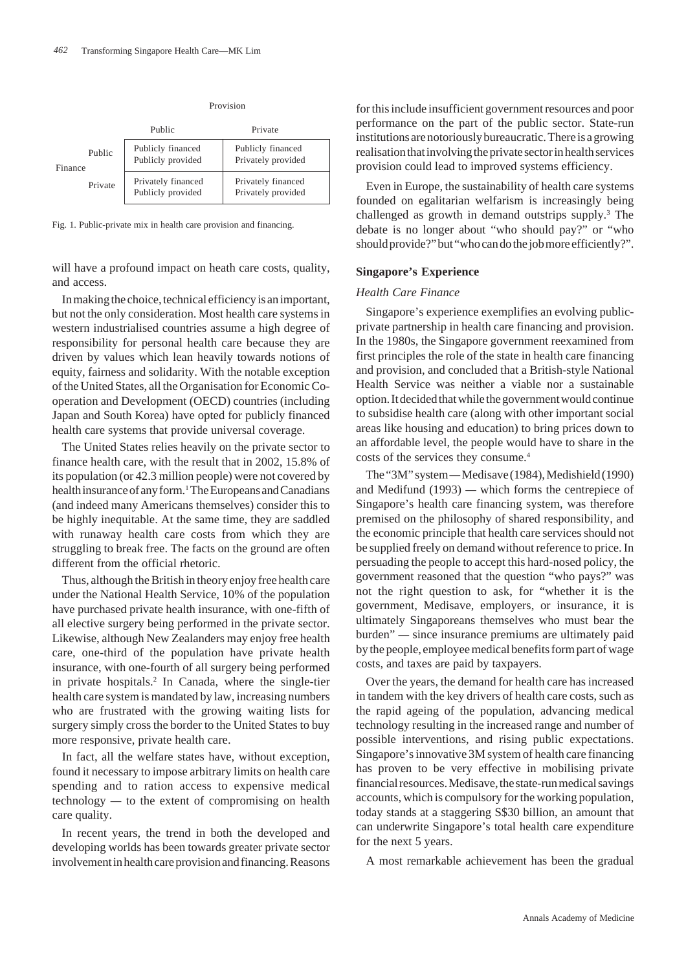|         |         | Public                                  | Private                                  |
|---------|---------|-----------------------------------------|------------------------------------------|
| Finance | Public  | Publicly financed<br>Publicly provided  | Publicly financed<br>Privately provided  |
|         | Private | Privately financed<br>Publicly provided | Privately financed<br>Privately provided |

Provision

Fig. 1. Public-private mix in health care provision and financing.

will have a profound impact on heath care costs, quality, and access.

In making the choice, technical efficiency is an important, but not the only consideration. Most health care systems in western industrialised countries assume a high degree of responsibility for personal health care because they are driven by values which lean heavily towards notions of equity, fairness and solidarity. With the notable exception of the United States, all the Organisation for Economic Cooperation and Development (OECD) countries (including Japan and South Korea) have opted for publicly financed health care systems that provide universal coverage.

The United States relies heavily on the private sector to finance health care, with the result that in 2002, 15.8% of its population (or 42.3 million people) were not covered by health insurance of any form.<sup>1</sup> The Europeans and Canadians (and indeed many Americans themselves) consider this to be highly inequitable. At the same time, they are saddled with runaway health care costs from which they are struggling to break free. The facts on the ground are often different from the official rhetoric.

Thus, although the British in theory enjoy free health care under the National Health Service, 10% of the population have purchased private health insurance, with one-fifth of all elective surgery being performed in the private sector. Likewise, although New Zealanders may enjoy free health care, one-third of the population have private health insurance, with one-fourth of all surgery being performed in private hospitals.<sup>2</sup> In Canada, where the single-tier health care system is mandated by law, increasing numbers who are frustrated with the growing waiting lists for surgery simply cross the border to the United States to buy more responsive, private health care.

In fact, all the welfare states have, without exception, found it necessary to impose arbitrary limits on health care spending and to ration access to expensive medical technology *—* to the extent of compromising on health care quality.

In recent years, the trend in both the developed and developing worlds has been towards greater private sector involvement in health care provision and financing. Reasons for this include insufficient government resources and poor performance on the part of the public sector. State-run institutions are notoriously bureaucratic. There is a growing realisation that involving the private sector in health services provision could lead to improved systems efficiency.

Even in Europe, the sustainability of health care systems founded on egalitarian welfarism is increasingly being challenged as growth in demand outstrips supply.<sup>3</sup> The debate is no longer about "who should pay?" or "who should provide?" but "who can do the job more efficiently?".

# **Singapore's Experience**

#### *Health Care Finance*

Singapore's experience exemplifies an evolving publicprivate partnership in health care financing and provision. In the 1980s, the Singapore government reexamined from first principles the role of the state in health care financing and provision, and concluded that a British-style National Health Service was neither a viable nor a sustainable option. It decided that while the government would continue to subsidise health care (along with other important social areas like housing and education) to bring prices down to an affordable level, the people would have to share in the costs of the services they consume.4

The "3M" system *—* Medisave (1984), Medishield (1990) and Medifund (1993) *—* which forms the centrepiece of Singapore's health care financing system, was therefore premised on the philosophy of shared responsibility, and the economic principle that health care services should not be supplied freely on demand without reference to price. In persuading the people to accept this hard-nosed policy, the government reasoned that the question "who pays?" was not the right question to ask, for "whether it is the government, Medisave, employers, or insurance, it is ultimately Singaporeans themselves who must bear the burden" *—* since insurance premiums are ultimately paid by the people, employee medical benefits form part of wage costs, and taxes are paid by taxpayers.

Over the years, the demand for health care has increased in tandem with the key drivers of health care costs, such as the rapid ageing of the population, advancing medical technology resulting in the increased range and number of possible interventions, and rising public expectations. Singapore's innovative 3M system of health care financing has proven to be very effective in mobilising private financial resources. Medisave, the state-run medical savings accounts, which is compulsory for the working population, today stands at a staggering S\$30 billion, an amount that can underwrite Singapore's total health care expenditure for the next 5 years.

A most remarkable achievement has been the gradual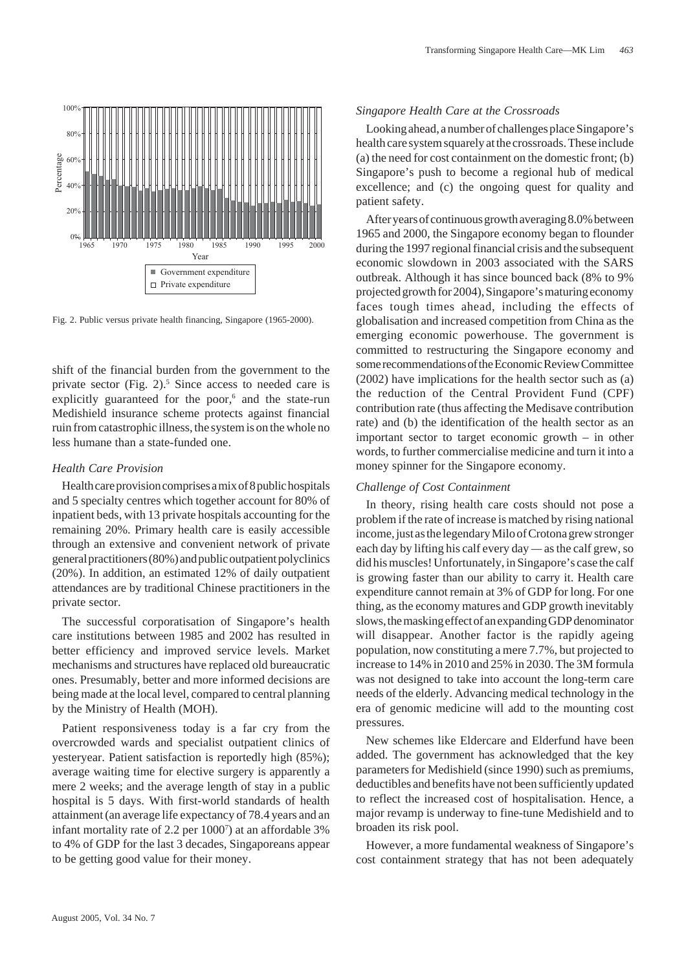

Fig. 2. Public versus private health financing, Singapore (1965-2000).

shift of the financial burden from the government to the private sector (Fig.  $2$ ).<sup>5</sup> Since access to needed care is explicitly guaranteed for the poor,<sup>6</sup> and the state-run Medishield insurance scheme protects against financial ruin from catastrophic illness, the system is on the whole no less humane than a state-funded one.

## *Health Care Provision*

Health care provision comprises a mix of 8 public hospitals and 5 specialty centres which together account for 80% of inpatient beds, with 13 private hospitals accounting for the remaining 20%. Primary health care is easily accessible through an extensive and convenient network of private general practitioners (80%) and public outpatient polyclinics (20%). In addition, an estimated 12% of daily outpatient attendances are by traditional Chinese practitioners in the private sector.

The successful corporatisation of Singapore's health care institutions between 1985 and 2002 has resulted in better efficiency and improved service levels. Market mechanisms and structures have replaced old bureaucratic ones. Presumably, better and more informed decisions are being made at the local level, compared to central planning by the Ministry of Health (MOH).

Patient responsiveness today is a far cry from the overcrowded wards and specialist outpatient clinics of yesteryear. Patient satisfaction is reportedly high (85%); average waiting time for elective surgery is apparently a mere 2 weeks; and the average length of stay in a public hospital is 5 days. With first-world standards of health attainment (an average life expectancy of 78.4 years and an infant mortality rate of 2.2 per 10007 ) at an affordable 3% to 4% of GDP for the last 3 decades, Singaporeans appear to be getting good value for their money.

# *Singapore Health Care at the Crossroads*

Looking ahead, a number of challenges place Singapore's health care system squarely at the crossroads. These include (a) the need for cost containment on the domestic front; (b) Singapore's push to become a regional hub of medical excellence; and (c) the ongoing quest for quality and patient safety.

After years of continuous growth averaging 8.0% between 1965 and 2000, the Singapore economy began to flounder during the 1997 regional financial crisis and the subsequent economic slowdown in 2003 associated with the SARS outbreak. Although it has since bounced back (8% to 9% projected growth for 2004), Singapore's maturing economy faces tough times ahead, including the effects of globalisation and increased competition from China as the emerging economic powerhouse. The government is committed to restructuring the Singapore economy and some recommendations of the Economic Review Committee (2002) have implications for the health sector such as (a) the reduction of the Central Provident Fund (CPF) contribution rate (thus affecting the Medisave contribution rate) and (b) the identification of the health sector as an important sector to target economic growth – in other words, to further commercialise medicine and turn it into a money spinner for the Singapore economy.

#### *Challenge of Cost Containment*

In theory, rising health care costs should not pose a problem if the rate of increase is matched by rising national income, just as the legendary Milo of Crotona grew stronger each day by lifting his calf every day *—* as the calf grew, so did his muscles! Unfortunately, in Singapore's case the calf is growing faster than our ability to carry it. Health care expenditure cannot remain at 3% of GDP for long. For one thing, as the economy matures and GDP growth inevitably slows, the masking effect of an expanding GDP denominator will disappear. Another factor is the rapidly ageing population, now constituting a mere 7.7%, but projected to increase to 14% in 2010 and 25% in 2030. The 3M formula was not designed to take into account the long-term care needs of the elderly. Advancing medical technology in the era of genomic medicine will add to the mounting cost pressures.

New schemes like Eldercare and Elderfund have been added. The government has acknowledged that the key parameters for Medishield (since 1990) such as premiums, deductibles and benefits have not been sufficiently updated to reflect the increased cost of hospitalisation. Hence, a major revamp is underway to fine-tune Medishield and to broaden its risk pool.

However, a more fundamental weakness of Singapore's cost containment strategy that has not been adequately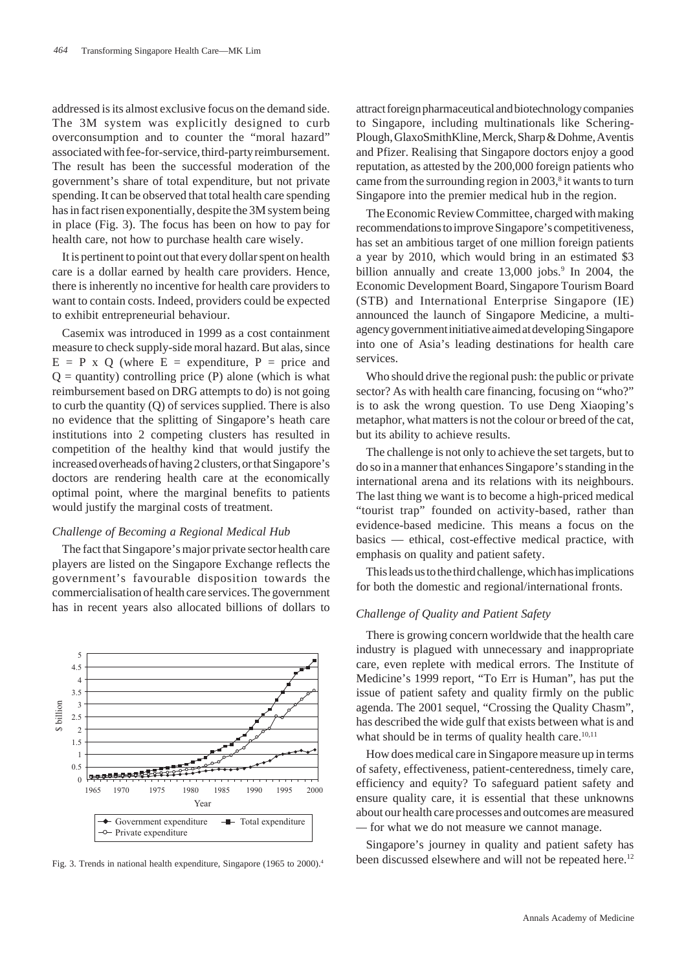addressed is its almost exclusive focus on the demand side. The 3M system was explicitly designed to curb overconsumption and to counter the "moral hazard" associated with fee-for-service, third-party reimbursement. The result has been the successful moderation of the government's share of total expenditure, but not private spending. It can be observed that total health care spending has in fact risen exponentially, despite the 3M system being in place (Fig. 3). The focus has been on how to pay for health care, not how to purchase health care wisely.

It is pertinent to point out that every dollar spent on health care is a dollar earned by health care providers. Hence, there is inherently no incentive for health care providers to want to contain costs. Indeed, providers could be expected to exhibit entrepreneurial behaviour.

Casemix was introduced in 1999 as a cost containment measure to check supply-side moral hazard. But alas, since  $E = P \times Q$  (where  $E =$  expenditure,  $P =$  price and  $Q =$  quantity) controlling price (P) alone (which is what reimbursement based on DRG attempts to do) is not going to curb the quantity (Q) of services supplied. There is also no evidence that the splitting of Singapore's heath care institutions into 2 competing clusters has resulted in competition of the healthy kind that would justify the increased overheads of having 2 clusters, or that Singapore's doctors are rendering health care at the economically optimal point, where the marginal benefits to patients would justify the marginal costs of treatment.

#### *Challenge of Becoming a Regional Medical Hub*

The fact that Singapore's major private sector health care players are listed on the Singapore Exchange reflects the government's favourable disposition towards the commercialisation of health care services. The government has in recent years also allocated billions of dollars to



Fig. 3. Trends in national health expenditure, Singapore (1965 to 2000).<sup>4</sup>

attract foreign pharmaceutical and biotechnology companies to Singapore, including multinationals like Schering-Plough, GlaxoSmithKline, Merck, Sharp & Dohme, Aventis and Pfizer. Realising that Singapore doctors enjoy a good reputation, as attested by the 200,000 foreign patients who came from the surrounding region in  $2003$ ,<sup>8</sup> it wants to turn Singapore into the premier medical hub in the region.

The Economic Review Committee, charged with making recommendations to improve Singapore's competitiveness, has set an ambitious target of one million foreign patients a year by 2010, which would bring in an estimated \$3 billion annually and create 13,000 jobs.<sup>9</sup> In 2004, the Economic Development Board, Singapore Tourism Board (STB) and International Enterprise Singapore (IE) announced the launch of Singapore Medicine, a multiagency government initiative aimed at developing Singapore into one of Asia's leading destinations for health care services.

Who should drive the regional push: the public or private sector? As with health care financing, focusing on "who?" is to ask the wrong question. To use Deng Xiaoping's metaphor, what matters is not the colour or breed of the cat, but its ability to achieve results.

The challenge is not only to achieve the set targets, but to do so in a manner that enhances Singapore's standing in the international arena and its relations with its neighbours. The last thing we want is to become a high-priced medical "tourist trap" founded on activity-based, rather than evidence-based medicine. This means a focus on the basics — ethical, cost-effective medical practice, with emphasis on quality and patient safety.

This leads us to the third challenge, which has implications for both the domestic and regional/international fronts.

## *Challenge of Quality and Patient Safety*

There is growing concern worldwide that the health care industry is plagued with unnecessary and inappropriate care, even replete with medical errors. The Institute of Medicine's 1999 report, "To Err is Human", has put the issue of patient safety and quality firmly on the public agenda. The 2001 sequel, "Crossing the Quality Chasm", has described the wide gulf that exists between what is and what should be in terms of quality health care. $10,11$ 

How does medical care in Singapore measure up in terms of safety, effectiveness, patient-centeredness, timely care, efficiency and equity? To safeguard patient safety and ensure quality care, it is essential that these unknowns about our health care processes and outcomes are measured *—* for what we do not measure we cannot manage.

Singapore's journey in quality and patient safety has been discussed elsewhere and will not be repeated here.<sup>12</sup>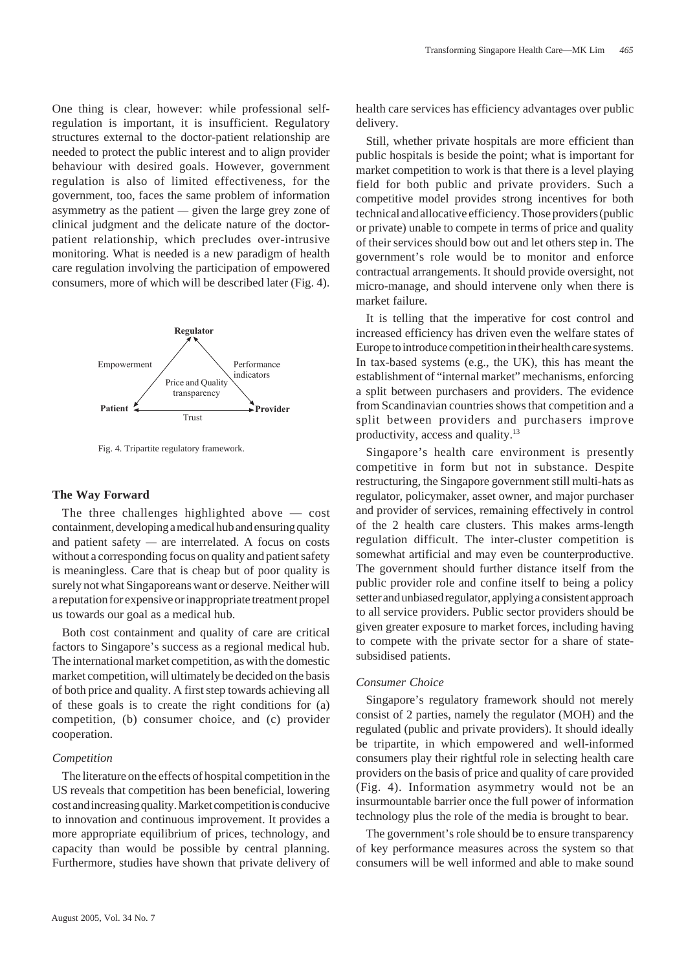One thing is clear, however: while professional selfregulation is important, it is insufficient. Regulatory structures external to the doctor-patient relationship are needed to protect the public interest and to align provider behaviour with desired goals. However, government regulation is also of limited effectiveness, for the government, too, faces the same problem of information asymmetry as the patient *—* given the large grey zone of clinical judgment and the delicate nature of the doctorpatient relationship, which precludes over-intrusive monitoring. What is needed is a new paradigm of health care regulation involving the participation of empowered consumers, more of which will be described later (Fig. 4).



Fig. 4. Tripartite regulatory framework.

#### **The Way Forward**

The three challenges highlighted above — cost containment, developing a medical hub and ensuring quality and patient safety *—* are interrelated. A focus on costs without a corresponding focus on quality and patient safety is meaningless. Care that is cheap but of poor quality is surely not what Singaporeans want or deserve. Neither will a reputation for expensive or inappropriate treatment propel us towards our goal as a medical hub.

Both cost containment and quality of care are critical factors to Singapore's success as a regional medical hub. The international market competition, as with the domestic market competition, will ultimately be decided on the basis of both price and quality. A first step towards achieving all of these goals is to create the right conditions for (a) competition, (b) consumer choice, and (c) provider cooperation.

#### *Competition*

The literature on the effects of hospital competition in the US reveals that competition has been beneficial, lowering cost and increasing quality. Market competition is conducive to innovation and continuous improvement. It provides a more appropriate equilibrium of prices, technology, and capacity than would be possible by central planning. Furthermore, studies have shown that private delivery of health care services has efficiency advantages over public delivery.

Still, whether private hospitals are more efficient than public hospitals is beside the point; what is important for market competition to work is that there is a level playing field for both public and private providers. Such a competitive model provides strong incentives for both technical and allocative efficiency. Those providers (public or private) unable to compete in terms of price and quality of their services should bow out and let others step in. The government's role would be to monitor and enforce contractual arrangements. It should provide oversight, not micro-manage, and should intervene only when there is market failure.

It is telling that the imperative for cost control and increased efficiency has driven even the welfare states of Europe to introduce competition in their health care systems. In tax-based systems (e.g., the UK), this has meant the establishment of "internal market" mechanisms, enforcing a split between purchasers and providers. The evidence from Scandinavian countries shows that competition and a split between providers and purchasers improve productivity, access and quality.13

Singapore's health care environment is presently competitive in form but not in substance. Despite restructuring, the Singapore government still multi-hats as regulator, policymaker, asset owner, and major purchaser and provider of services, remaining effectively in control of the 2 health care clusters. This makes arms-length regulation difficult. The inter-cluster competition is somewhat artificial and may even be counterproductive. The government should further distance itself from the public provider role and confine itself to being a policy setter and unbiased regulator, applying a consistent approach to all service providers. Public sector providers should be given greater exposure to market forces, including having to compete with the private sector for a share of statesubsidised patients.

#### *Consumer Choice*

Singapore's regulatory framework should not merely consist of 2 parties, namely the regulator (MOH) and the regulated (public and private providers). It should ideally be tripartite, in which empowered and well-informed consumers play their rightful role in selecting health care providers on the basis of price and quality of care provided (Fig. 4). Information asymmetry would not be an insurmountable barrier once the full power of information technology plus the role of the media is brought to bear.

The government's role should be to ensure transparency of key performance measures across the system so that consumers will be well informed and able to make sound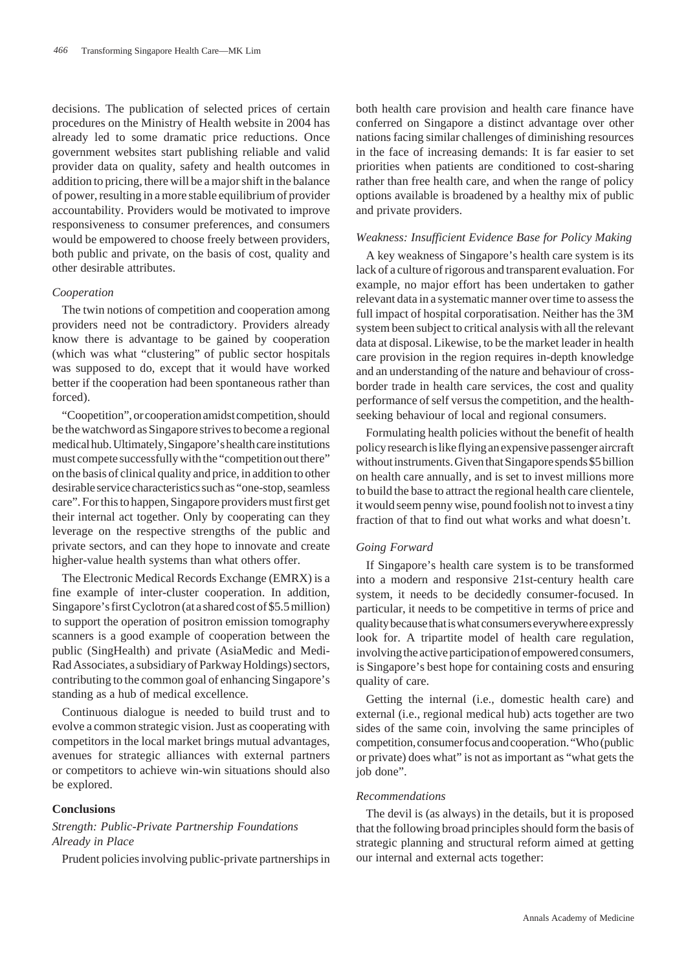decisions. The publication of selected prices of certain procedures on the Ministry of Health website in 2004 has already led to some dramatic price reductions. Once government websites start publishing reliable and valid provider data on quality, safety and health outcomes in addition to pricing, there will be a major shift in the balance of power, resulting in a more stable equilibrium of provider accountability. Providers would be motivated to improve responsiveness to consumer preferences, and consumers would be empowered to choose freely between providers, both public and private, on the basis of cost, quality and other desirable attributes.

## *Cooperation*

The twin notions of competition and cooperation among providers need not be contradictory. Providers already know there is advantage to be gained by cooperation (which was what "clustering" of public sector hospitals was supposed to do, except that it would have worked better if the cooperation had been spontaneous rather than forced).

"Coopetition", or cooperation amidst competition, should be the watchword as Singapore strives to become a regional medical hub. Ultimately, Singapore's health care institutions must compete successfully with the "competition out there" on the basis of clinical quality and price, in addition to other desirable service characteristics such as "one-stop, seamless care". For this to happen, Singapore providers must first get their internal act together. Only by cooperating can they leverage on the respective strengths of the public and private sectors, and can they hope to innovate and create higher-value health systems than what others offer.

The Electronic Medical Records Exchange (EMRX) is a fine example of inter-cluster cooperation. In addition, Singapore's first Cyclotron (at a shared cost of \$5.5 million) to support the operation of positron emission tomography scanners is a good example of cooperation between the public (SingHealth) and private (AsiaMedic and Medi-Rad Associates, a subsidiary of Parkway Holdings) sectors, contributing to the common goal of enhancing Singapore's standing as a hub of medical excellence.

Continuous dialogue is needed to build trust and to evolve a common strategic vision. Just as cooperating with competitors in the local market brings mutual advantages, avenues for strategic alliances with external partners or competitors to achieve win-win situations should also be explored.

## **Conclusions**

# *Strength: Public-Private Partnership Foundations Already in Place*

Prudent policies involving public-private partnerships in

both health care provision and health care finance have conferred on Singapore a distinct advantage over other nations facing similar challenges of diminishing resources in the face of increasing demands: It is far easier to set priorities when patients are conditioned to cost-sharing rather than free health care, and when the range of policy options available is broadened by a healthy mix of public and private providers.

## *Weakness: Insufficient Evidence Base for Policy Making*

A key weakness of Singapore's health care system is its lack of a culture of rigorous and transparent evaluation. For example, no major effort has been undertaken to gather relevant data in a systematic manner over time to assess the full impact of hospital corporatisation. Neither has the 3M system been subject to critical analysis with all the relevant data at disposal. Likewise, to be the market leader in health care provision in the region requires in-depth knowledge and an understanding of the nature and behaviour of crossborder trade in health care services, the cost and quality performance of self versus the competition, and the healthseeking behaviour of local and regional consumers.

Formulating health policies without the benefit of health policy research is like flying an expensive passenger aircraft without instruments. Given that Singapore spends \$5 billion on health care annually, and is set to invest millions more to build the base to attract the regional health care clientele, it would seem penny wise, pound foolish not to invest a tiny fraction of that to find out what works and what doesn't.

# *Going Forward*

If Singapore's health care system is to be transformed into a modern and responsive 21st-century health care system, it needs to be decidedly consumer-focused. In particular, it needs to be competitive in terms of price and quality because that is what consumers everywhere expressly look for. A tripartite model of health care regulation, involving the active participation of empowered consumers, is Singapore's best hope for containing costs and ensuring quality of care.

Getting the internal (i.e., domestic health care) and external (i.e., regional medical hub) acts together are two sides of the same coin, involving the same principles of competition, consumer focus and cooperation. "Who (public or private) does what" is not as important as "what gets the job done".

# *Recommendations*

The devil is (as always) in the details, but it is proposed that the following broad principles should form the basis of strategic planning and structural reform aimed at getting our internal and external acts together: